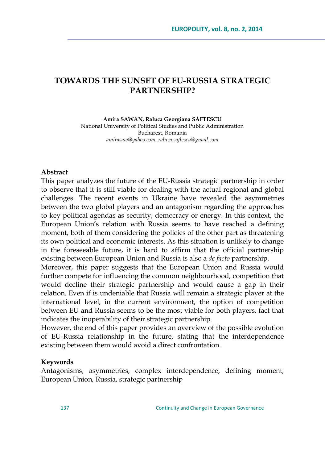# **TOWARDS THE SUNSET OF EU-RUSSIA STRATEGIC PARTNERSHIP?**

**Amira SAWAN, Raluca Georgiana SĂFTESCU** National University of Political Studies and Public Administration Bucharest, Romania *[amirasaw@yahoo.com,](mailto:amirasaw@yahoo.com) [raluca.saftescu@gmail.com](mailto:raluca.saftescu@gmail.com)*

### **Abstract**

This paper analyzes the future of the EU-Russia strategic partnership in order to observe that it is still viable for dealing with the actual regional and global challenges. The recent events in Ukraine have revealed the asymmetries between the two global players and an antagonism regarding the approaches to key political agendas as security, democracy or energy. In this context, the European Union's relation with Russia seems to have reached a defining moment, both of them considering the policies of the other part as threatening its own political and economic interests. As this situation is unlikely to change in the foreseeable future, it is hard to affirm that the official partnership existing between European Union and Russia is also a *de facto* partnership.

Moreover, this paper suggests that the European Union and Russia would further compete for influencing the common neighbourhood, competition that would decline their strategic partnership and would cause a gap in their relation. Even if is undeniable that Russia will remain a strategic player at the international level, in the current environment, the option of competition between EU and Russia seems to be the most viable for both players, fact that indicates the inoperability of their strategic partnership.

However, the end of this paper provides an overview of the possible evolution of EU-Russia relationship in the future, stating that the interdependence existing between them would avoid a direct confrontation.

#### **Keywords**

Antagonisms, asymmetries, complex interdependence, defining moment, European Union, Russia, strategic partnership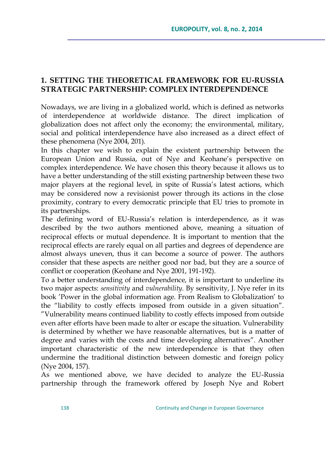## **1. SETTING THE THEORETICAL FRAMEWORK FOR EU-RUSSIA STRATEGIC PARTNERSHIP: COMPLEX INTERDEPENDENCE**

Nowadays, we are living in a globalized world, which is defined as networks of interdependence at worldwide distance. The direct implication of globalization does not affect only the economy; the environmental, military, social and political interdependence have also increased as a direct effect of these phenomena (Nye 2004, 201).

In this chapter we wish to explain the existent partnership between the European Union and Russia, out of Nye and Keohane's perspective on complex interdependence. We have chosen this theory because it allows us to have a better understanding of the still existing partnership between these two major players at the regional level, in spite of Russia's latest actions, which may be considered now a revisionist power through its actions in the close proximity, contrary to every democratic principle that EU tries to promote in its partnerships.

The defining word of EU-Russia's relation is interdependence, as it was described by the two authors mentioned above, meaning a situation of reciprocal effects or mutual dependence. It is important to mention that the reciprocal effects are rarely equal on all parties and degrees of dependence are almost always uneven, thus it can become a source of power. The authors consider that these aspects are neither good nor bad, but they are a source of conflict or cooperation (Keohane and Nye 2001, 191-192).

To a better understanding of interdependence, it is important to underline its two major aspects: *sensitivity* and *vulnerability*. By sensitivity, J. Nye refer in its book 'Power in the global information age. From Realism to Globalization' to the "liability to costly effects imposed from outside in a given situation". ‖Vulnerability means continued liability to costly effects imposed from outside even after efforts have been made to alter or escape the situation. Vulnerability is determined by whether we have reasonable alternatives, but is a matter of degree and varies with the costs and time developing alternatives". Another important characteristic of the new interdependence is that they often undermine the traditional distinction between domestic and foreign policy (Nye 2004, 157).

As we mentioned above, we have decided to analyze the EU-Russia partnership through the framework offered by Joseph Nye and Robert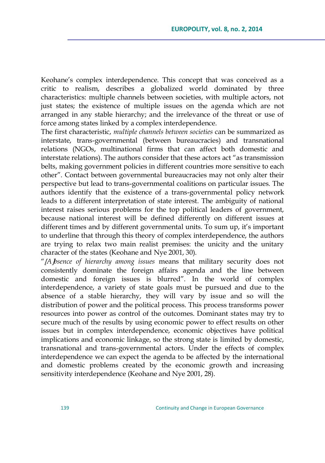Keohane's complex interdependence. This concept that was conceived as a critic to realism, describes a globalized world dominated by three characteristics: multiple channels between societies, with multiple actors, not just states; the existence of multiple issues on the agenda which are not arranged in any stable hierarchy; and the irrelevance of the threat or use of force among states linked by a complex interdependence.

The first characteristic, *multiple channels between societies* can be summarized as interstate, trans-governmental (between bureaucracies) and transnational relations (NGOs, multinational firms that can affect both domestic and interstate relations). The authors consider that these actors act "as transmission belts, making government policies in different countries more sensitive to each other". Contact between governmental bureaucracies may not only alter their perspective but lead to trans-governmental coalitions on particular issues. The authors identify that the existence of a trans-governmental policy network leads to a different interpretation of state interest. The ambiguity of national interest raises serious problems for the top political leaders of government, because national interest will be defined differently on different issues at different times and by different governmental units. To sum up, it's important to underline that through this theory of complex interdependence, the authors are trying to relax two main realist premises: the unicity and the unitary character of the states (Keohane and Nye 2001, 30).

―*Absence of hierarchy among issues* means that military security does not consistently dominate the foreign affairs agenda and the line between domestic and foreign issues is blurred". In the world of complex interdependence, a variety of state goals must be pursued and due to the absence of a stable hierarchy, they will vary by issue and so will the distribution of power and the political process. This process transforms power resources into power as control of the outcomes. Dominant states may try to secure much of the results by using economic power to effect results on other issues but in complex interdependence, economic objectives have political implications and economic linkage, so the strong state is limited by domestic, transnational and trans-governmental actors. Under the effects of complex interdependence we can expect the agenda to be affected by the international and domestic problems created by the economic growth and increasing sensitivity interdependence (Keohane and Nye 2001, 28).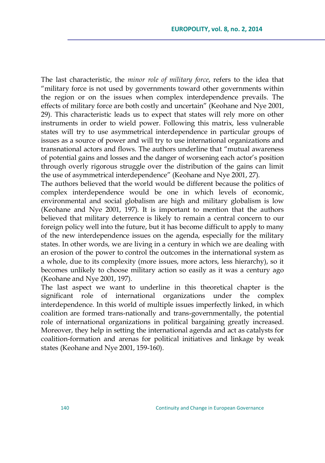The last characteristic, the *minor role of military force*, refers to the idea that "military force is not used by governments toward other governments within the region or on the issues when complex interdependence prevails. The effects of military force are both costly and uncertain" (Keohane and Nye 2001, 29). This characteristic leads us to expect that states will rely more on other instruments in order to wield power. Following this matrix, less vulnerable states will try to use asymmetrical interdependence in particular groups of issues as a source of power and will try to use international organizations and transnational actors and flows. The authors underline that "mutual awareness" of potential gains and losses and the danger of worsening each actor's position through overly rigorous struggle over the distribution of the gains can limit the use of asymmetrical interdependence" (Keohane and Nye 2001, 27).

The authors believed that the world would be different because the politics of complex interdependence would be one in which levels of economic, environmental and social globalism are high and military globalism is low (Keohane and Nye 2001, 197). It is important to mention that the authors believed that military deterrence is likely to remain a central concern to our foreign policy well into the future, but it has become difficult to apply to many of the new interdependence issues on the agenda, especially for the military states. In other words, we are living in a century in which we are dealing with an erosion of the power to control the outcomes in the international system as a whole, due to its complexity (more issues, more actors, less hierarchy), so it becomes unlikely to choose military action so easily as it was a century ago (Keohane and Nye 2001, 197).

The last aspect we want to underline in this theoretical chapter is the significant role of international organizations under the complex interdependence. In this world of multiple issues imperfectly linked, in which coalition are formed trans-nationally and trans-governmentally, the potential role of international organizations in political bargaining greatly increased. Moreover, they help in setting the international agenda and act as catalysts for coalition-formation and arenas for political initiatives and linkage by weak states (Keohane and Nye 2001, 159-160).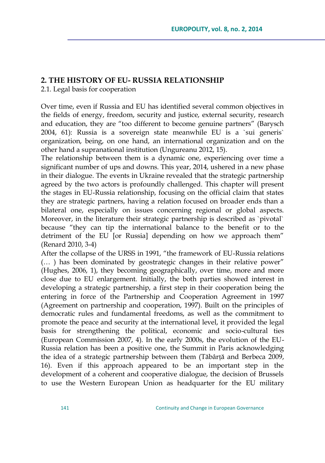### **2. THE HISTORY OF EU- RUSSIA RELATIONSHIP**

2.1. Legal basis for cooperation

Over time, even if Russia and EU has identified several common objectives in the fields of energy, freedom, security and justice, external security, research and education, they are "too different to become genuine partners" (Barysch 2004, 61): Russia is a sovereign state meanwhile EU is a `sui generis` organization, being, on one hand, an international organization and on the other hand a supranational institution (Ungureanu 2012, 15).

The relationship between them is a dynamic one, experiencing over time a significant number of ups and downs. This year, 2014, ushered in a new phase in their dialogue. The events in Ukraine revealed that the strategic partnership agreed by the two actors is profoundly challenged. This chapter will present the stages in EU-Russia relationship, focusing on the official claim that states they are strategic partners, having a relation focused on broader ends than a bilateral one, especially on issues concerning regional or global aspects. Moreover, in the literature their strategic partnership is described as `pivotal` because "they can tip the international balance to the benefit or to the detriment of the EU [or Russia] depending on how we approach them" (Renard 2010, 3-4)

After the collapse of the URSS in 1991, "the framework of EU-Russia relations  $(\dots)$  has been dominated by geostrategic changes in their relative power" (Hughes, 2006, 1), they becoming geographically, over time, more and more close due to EU enlargement. Initially, the both parties showed interest in developing a strategic partnership, a first step in their cooperation being the entering in force of the Partnership and Cooperation Agreement in 1997 (Agreement on partnership and cooperation, 1997). Built on the principles of democratic rules and fundamental freedoms, as well as the commitment to promote the peace and security at the international level, it provided the legal basis for strengthening the political, economic and socio-cultural ties (European Commission 2007, 4). In the early 2000s, the evolution of the EU-Russia relation has been a positive one, the Summit in Paris acknowledging the idea of a strategic partnership between them (Tăbârță and Berbeca 2009, 16). Even if this approach appeared to be an important step in the development of a coherent and cooperative dialogue, the decision of Brussels to use the Western European Union as headquarter for the EU military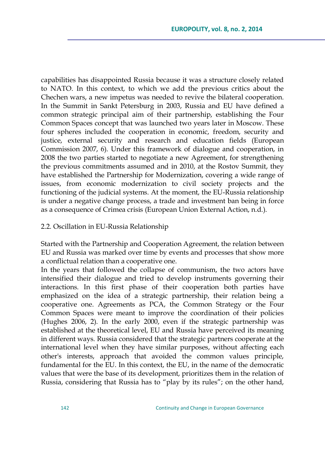capabilities has disappointed Russia because it was a structure closely related to NATO. In this context, to which we add the previous critics about the Chechen wars, a new impetus was needed to revive the bilateral cooperation. In the Summit in Sankt Petersburg in 2003, Russia and EU have defined a common strategic principal aim of their partnership, establishing the Four Common Spaces concept that was launched two years later in Moscow. These four spheres included the cooperation in economic, freedom, security and justice, external security and research and education fields (European Commission 2007, 6). Under this framework of dialogue and cooperation, in 2008 the two parties started to negotiate a new Agreement, for strengthening the previous commitments assumed and in 2010, at the Rostov Summit, they have established the Partnership for Modernization, covering a wide range of issues, from economic modernization to civil society projects and the functioning of the judicial systems. At the moment, the EU-Russia relationship is under a negative change process, a trade and investment ban being in force as a consequence of Crimea crisis (European Union External Action, n.d.).

#### 2.2. Oscillation in EU-Russia Relationship

Started with the Partnership and Cooperation Agreement, the relation between EU and Russia was marked over time by events and processes that show more a conflictual relation than a cooperative one.

In the years that followed the collapse of communism, the two actors have intensified their dialogue and tried to develop instruments governing their interactions. In this first phase of their cooperation both parties have emphasized on the idea of a strategic partnership, their relation being a cooperative one. Agreements as PCA, the Common Strategy or the Four Common Spaces were meant to improve the coordination of their policies (Hughes 2006, 2). In the early 2000, even if the strategic partnership was established at the theoretical level, EU and Russia have perceived its meaning in different ways. Russia considered that the strategic partners cooperate at the international level when they have similar purposes, without affecting each other's interests, approach that avoided the common values principle, fundamental for the EU. In this context, the EU, in the name of the democratic values that were the base of its development, prioritizes them in the relation of Russia, considering that Russia has to "play by its rules"; on the other hand,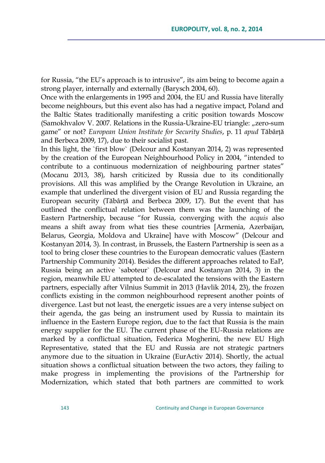for Russia, "the EU's approach is to intrusive", its aim being to become again a strong player, internally and externally (Barysch 2004, 60).

Once with the enlargements in 1995 and 2004, the EU and Russia have literally become neighbours, but this event also has had a negative impact, Poland and the Baltic States traditionally manifesting a critic position towards Moscow (Samokhvalov V. 2007. Relations in the Russia-Ukraine-EU triangle: "zero-sum game‖ or not? *European Union Institute for Security Studies*, p. 11 *apud* Tăbârță and Berbeca 2009, 17), due to their socialist past.

In this light, the `first blow` (Delcour and Kostanyan 2014, 2) was represented by the creation of the European Neighbourhood Policy in 2004, "intended to contribute to a continuous modernization of neighbouring partner states" (Mocanu 2013, 38), harsh criticized by Russia due to its conditionally provisions. All this was amplified by the Orange Revolution in Ukraine, an example that underlined the divergent vision of EU and Russia regarding the European security (Tăbârță and Berbeca 2009, 17). But the event that has outlined the conflictual relation between them was the launching of the Eastern Partnership, because "for Russia, converging with the *acquis* also means a shift away from what ties these countries [Armenia, Azerbaijan, Belarus, Georgia, Moldova and Ukraine] have with Moscow" (Delcour and Kostanyan 2014, 3). In contrast, in Brussels, the Eastern Partnership is seen as a tool to bring closer these countries to the European democratic values (Eastern Partnership Community 2014). Besides the different approaches related to EaP, Russia being an active `saboteur` (Delcour and Kostanyan 2014, 3) in the region, meanwhile EU attempted to de-escalated the tensions with the Eastern partners, especially after Vilnius Summit in 2013 (Havlik 2014, 23), the frozen conflicts existing in the common neighbourhood represent another points of divergence. Last but not least, the energetic issues are a very intense subject on their agenda, the gas being an instrument used by Russia to maintain its influence in the Eastern Europe region, due to the fact that Russia is the main energy supplier for the EU. The current phase of the EU-Russia relations are marked by a conflictual situation, Federica Mogherini, the new EU High Representative, stated that the EU and Russia are not strategic partners anymore due to the situation in Ukraine (EurActiv 2014). Shortly, the actual situation shows a conflictual situation between the two actors, they failing to make progress in implementing the provisions of the Partnership for Modernization, which stated that both partners are committed to work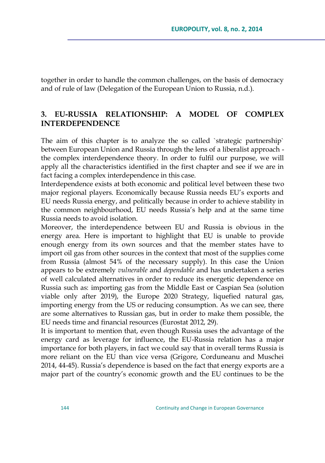together in order to handle the common challenges, on the basis of democracy and of rule of law (Delegation of the European Union to Russia, n.d.).

# **3. EU-RUSSIA RELATIONSHIP: A MODEL OF COMPLEX INTERDEPENDENCE**

The aim of this chapter is to analyze the so called `strategic partnership` between European Union and Russia through the lens of a liberalist approach the complex interdependence theory. In order to fulfil our purpose, we will apply all the characteristics identified in the first chapter and see if we are in fact facing a complex interdependence in this case.

Interdependence exists at both economic and political level between these two major regional players. Economically because Russia needs EU's exports and EU needs Russia energy, and politically because in order to achieve stability in the common neighbourhood, EU needs Russia's help and at the same time Russia needs to avoid isolation.

Moreover, the interdependence between EU and Russia is obvious in the energy area. Here is important to highlight that EU is unable to provide enough energy from its own sources and that the member states have to import oil gas from other sources in the context that most of the supplies come from Russia (almost 54% of the necessary supply). In this case the Union appears to be extremely *vulnerable* and *dependable* and has undertaken a series of well calculated alternatives in order to reduce its energetic dependence on Russia such as: importing gas from the Middle East or Caspian Sea (solution viable only after 2019), the Europe 2020 Strategy, liquefied natural gas, importing energy from the US or reducing consumption. As we can see, there are some alternatives to Russian gas, but in order to make them possible, the EU needs time and financial resources (Eurostat 2012, 29).

It is important to mention that, even though Russia uses the advantage of the energy card as leverage for influence, the EU-Russia relation has a major importance for both players, in fact we could say that in overall terms Russia is more reliant on the EU than vice versa (Grigore, Corduneanu and Muschei 2014, 44-45). Russia's dependence is based on the fact that energy exports are a major part of the country's economic growth and the EU continues to be the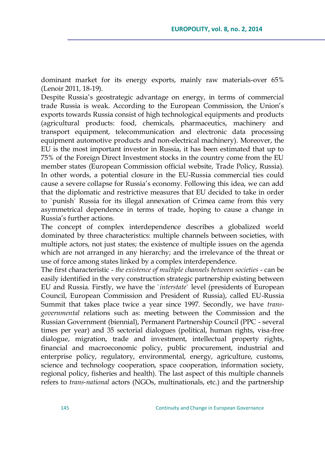dominant market for its energy exports, mainly raw materials-over 65% (Lenoir 2011, 18-19).

Despite Russia's geostrategic advantage on energy, in terms of commercial trade Russia is weak. According to the European Commission, the Union's exports towards Russia consist of high technological equipments and products (agricultural products: food, chemicals, pharmaceutics, machinery and transport equipment, telecommunication and electronic data processing equipment automotive products and non-electrical machinery). Moreover, the EU is the most important investor in Russia, it has been estimated that up to 75% of the Foreign Direct Investment stocks in the country come from the EU member states (European Commission official website, Trade Policy, Russia). In other words, a potential closure in the EU-Russia commercial ties could cause a severe collapse for Russia's economy. Following this idea, we can add that the diplomatic and restrictive measures that EU decided to take in order to `punish` Russia for its illegal annexation of Crimea came from this very asymmetrical dependence in terms of trade, hoping to cause a change in Russia's further actions.

The concept of complex interdependence describes a globalized world dominated by three characteristics: multiple channels between societies, with multiple actors, not just states; the existence of multiple issues on the agenda which are not arranged in any hierarchy; and the irrelevance of the threat or use of force among states linked by a complex interdependence.

The first characteristic - *the existence of multiple channels between societies* - can be easily identified in the very construction strategic partnership existing between EU and Russia. Firstly, we have the `*interstate*` level (presidents of European Council, European Commission and President of Russia), called EU-Russia Summit that takes place twice a year since 1997. Secondly, we have *transgovernmental* relations such as: meeting between the Commission and the Russian Government (biennial), Permanent Partnership Council (PPC - several times per year) and 35 sectorial dialogues (political, human rights, visa-free dialogue, migration, trade and investment, intellectual property rights, financial and macroeconomic policy, public procurement, industrial and enterprise policy, regulatory, environmental, energy, agriculture, customs, science and technology cooperation, space cooperation, information society, regional policy, fisheries and health). The last aspect of this multiple channels refers to *trans-national* actors (NGOs, multinationals, etc.) and the partnership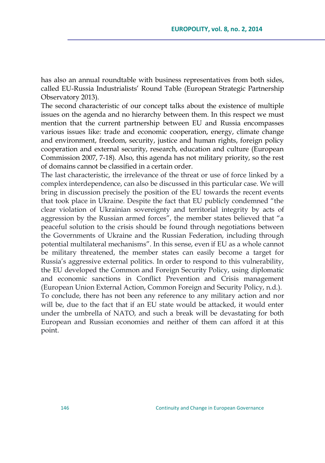has also an annual roundtable with business representatives from both sides, called EU-Russia Industrialists' Round Table (European Strategic Partnership Observatory 2013).

The second characteristic of our concept talks about the existence of multiple issues on the agenda and no hierarchy between them. In this respect we must mention that the current partnership between EU and Russia encompasses various issues like: trade and economic cooperation, energy, climate change and environment, freedom, security, justice and human rights, foreign policy cooperation and external security, research, education and culture (European Commission 2007, 7-18). Also, this agenda has not military priority, so the rest of domains cannot be classified in a certain order.

The last characteristic, the irrelevance of the threat or use of force linked by a complex interdependence, can also be discussed in this particular case. We will bring in discussion precisely the position of the EU towards the recent events that took place in Ukraine. Despite the fact that EU publicly condemned "the clear violation of Ukrainian sovereignty and territorial integrity by acts of aggression by the Russian armed forces", the member states believed that "a peaceful solution to the crisis should be found through negotiations between the Governments of Ukraine and the Russian Federation, including through potential multilateral mechanisms‖. In this sense, even if EU as a whole cannot be military threatened, the member states can easily become a target for Russia's aggressive external politics. In order to respond to this vulnerability, the EU developed the Common and Foreign Security Policy, using diplomatic and economic sanctions in Conflict Prevention and Crisis management (European Union External Action, Common Foreign and Security Policy, n.d.). To conclude, there has not been any reference to any military action and nor will be, due to the fact that if an EU state would be attacked, it would enter under the umbrella of NATO, and such a break will be devastating for both European and Russian economies and neither of them can afford it at this point.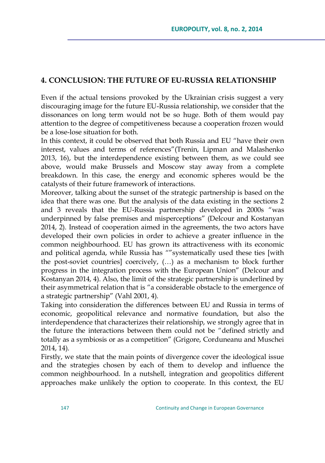## **4. CONCLUSION: THE FUTURE OF EU-RUSSIA RELATIONSHIP**

Even if the actual tensions provoked by the Ukrainian crisis suggest a very discouraging image for the future EU-Russia relationship, we consider that the dissonances on long term would not be so huge. Both of them would pay attention to the degree of competitiveness because a cooperation frozen would be a lose-lose situation for both.

In this context, it could be observed that both Russia and EU "have their own interest, values and terms of references"(Trenin, Lipman and Malashenko 2013, 16), but the interdependence existing between them, as we could see above, would make Brussels and Moscow stay away from a complete breakdown. In this case, the energy and economic spheres would be the catalysts of their future framework of interactions.

Moreover, talking about the sunset of the strategic partnership is based on the idea that there was one. But the analysis of the data existing in the sections 2 and 3 reveals that the EU-Russia partnership developed in 2000s "was underpinned by false premises and misperceptions‖ (Delcour and Kostanyan 2014, 2). Instead of cooperation aimed in the agreements, the two actors have developed their own policies in order to achieve a greater influence in the common neighbourhood. EU has grown its attractiveness with its economic and political agenda, while Russia has ""systematically used these ties [with the post-soviet countries] coercively, (…) as a mechanism to block further progress in the integration process with the European Union‖ (Delcour and Kostanyan 2014, 4). Also, the limit of the strategic partnership is underlined by their asymmetrical relation that is "a considerable obstacle to the emergence of a strategic partnership" (Vahl 2001, 4).

Taking into consideration the differences between EU and Russia in terms of economic, geopolitical relevance and normative foundation, but also the interdependence that characterizes their relationship, we strongly agree that in the future the interactions between them could not be "defined strictly and totally as a symbiosis or as a competition" (Grigore, Corduneanu and Muschei 2014, 14).

Firstly, we state that the main points of divergence cover the ideological issue and the strategies chosen by each of them to develop and influence the common neighbourhood. In a nutshell, integration and geopolitics different approaches make unlikely the option to cooperate. In this context, the EU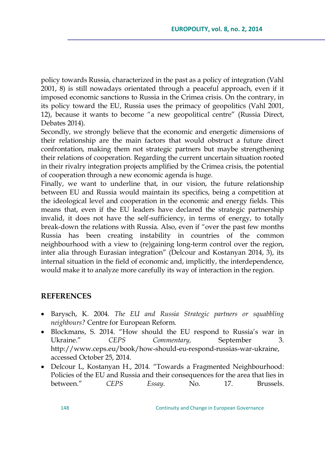policy towards Russia, characterized in the past as a policy of integration (Vahl 2001, 8) is still nowadays orientated through a peaceful approach, even if it imposed economic sanctions to Russia in the Crimea crisis. On the contrary, in its policy toward the EU, Russia uses the primacy of geopolitics (Vahl 2001, 12), because it wants to become "a new geopolitical centre" (Russia Direct, Debates 2014).

Secondly, we strongly believe that the economic and energetic dimensions of their relationship are the main factors that would obstruct a future direct confrontation, making them not strategic partners but maybe strengthening their relations of cooperation. Regarding the current uncertain situation rooted in their rivalry integration projects amplified by the Crimea crisis, the potential of cooperation through a new economic agenda is huge.

Finally, we want to underline that, in our vision, the future relationship between EU and Russia would maintain its specifics, being a competition at the ideological level and cooperation in the economic and energy fields. This means that, even if the EU leaders have declared the strategic partnership invalid, it does not have the self-sufficiency, in terms of energy, to totally break-down the relations with Russia. Also, even if "over the past few months Russia has been creating instability in countries of the common neighbourhood with a view to (re)gaining long-term control over the region, inter alia through Eurasian integration" (Delcour and Kostanyan 2014, 3), its internal situation in the field of economic and, implicitly, the interdependence, would make it to analyze more carefully its way of interaction in the region.

### **REFERENCES**

- Barysch, K. 2004. *The EU and Russia Strategic partners or squabbling neighbours?* Centre for European Reform.
- Blockmans, S. 2014. "How should the EU respond to Russia's war in Ukraine." CEPS Commentary, September 3. [http://www.ceps.eu/book/how-should-eu-respond-russias-war-ukraine,](http://www.ceps.eu/book/how-should-eu-respond-russias-war-ukraine) accessed October 25, 2014.
- Delcour L, Kostanyan H., 2014. "Towards a Fragmented Neighbourhood: Policies of the EU and Russia and their consequences for the area that lies in between." *CEPS Essay*. No. 17. Brussels.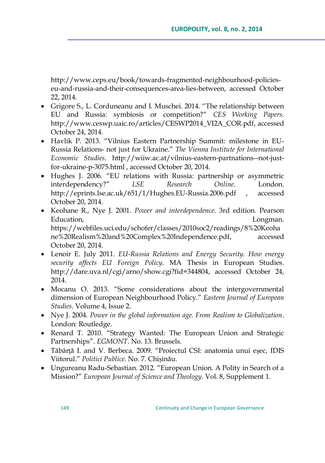http://www.ceps.eu/book/towards-fragmented-neighbourhood-policieseu-and-russia-and-their-consequences-area-lies-between, accessed October 22, 2014.

- Grigore S., L. Corduneanu and I. Muschei. 2014. "The relationship between EU and Russia: symbiosis or competition?― *CES Working Papers*. [http://www.ceswp.uaic.ro/articles/CESWP2014\\_VI2A\\_COR.pdf,](http://www.ceswp.uaic.ro/articles/CESWP2014_VI2A_COR.pdf) accessed October 24, 2014.
- Havlik P. 2013. ―Vilnius Eastern Partnership Summit: milestone in EU-Russia Relations- not just for Ukraine.‖ *The Vienna Institute for International Economic Studies*. http://wiiw.ac.at/vilnius-eastern-partnations--not-justfor-ukraine-p-3075.html , accessed October 20, 2014.
- Hughes J. 2006. "EU relations with Russia: partnership or asymmetric interdependency?‖ *LSE Research Online*. London. <http://eprints.lse.ac.uk/651/1/Hughes.EU-Russia.2006.pdf>, accessed October 20, 2014.
- Keohane R., Nye J. 2001. *Power and interdependence*. 3rd edition. Pearson Education, Longman. [https://webfiles.uci.edu/schofer/classes/2010soc2/readings/8%20Keoha](https://webfiles.uci.edu/schofer/classes/2010soc2/readings/8%20Keohane%20Realism%20and%20Complex%20Independence.pdf) [ne%20Realism%20and%20Complex%20Independence.pdf,](https://webfiles.uci.edu/schofer/classes/2010soc2/readings/8%20Keohane%20Realism%20and%20Complex%20Independence.pdf) accessed October 20, 2014.
- Lenoir E. July 2011. *EU-Russia Relations and Energy Security. How energy security affects EU Foreign Policy*. MA Thesis in European Studies. [http://dare.uva.nl/cgi/arno/show.cgi?fid=344804,](http://dare.uva.nl/cgi/arno/show.cgi?fid=344804) accessed October 24, 2014.
- Mocanu O. 2013. "Some considerations about the intergovernmental dimension of European Neighbourhood Policy.‖ *Eastern Journal of European Studies*. Volume 4, Issue 2.
- Nye J. 2004. *Power in the global information age. From Realism to Globalization*. London: Routledge.
- Renard T. 2010. "Strategy Wanted: The European Union and Strategic Partnerships". *EGMONT*. No. 13. Brussels.
- Tăbârță I. and V. Berbeca. 2009. "Proiectul CSI: anatomia unui eșec, IDIS Viitorul.‖ *Politici Publice*. No. 7. Chișinău.
- Ungureanu Radu-Sebastian. 2012. "European Union. A Polity in Search of a Mission?‖ *European Journal of Science and Theology*. Vol. 8, Supplement 1.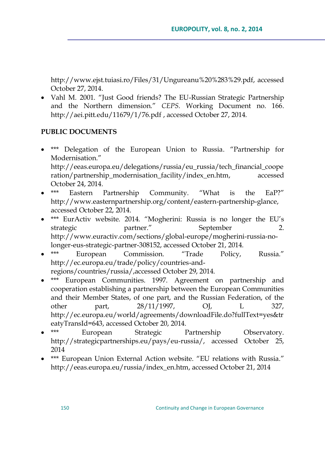http://www.ejst.tuiasi.ro/Files/31/Ungureanu%20%283%29.pdf, accessed October 27, 2014.

• Vahl M. 2001. "Just Good friends? The EU-Russian Strategic Partnership and the Northern dimension." CEPS. Working Document no. 166. <http://aei.pitt.edu/11679/1/76.pdf> , accessed October 27, 2014.

## **PUBLIC DOCUMENTS**

\*\*\* Delegation of the European Union to Russia. "Partnership for Modernisation."

[http://eeas.europa.eu/delegations/russia/eu\\_russia/tech\\_financial\\_coope](http://eeas.europa.eu/delegations/russia/eu_russia/tech_financial_cooperation/partnership_modernisation_facility/index_en.htm) [ration/partnership\\_modernisation\\_facility/index\\_en.htm,](http://eeas.europa.eu/delegations/russia/eu_russia/tech_financial_cooperation/partnership_modernisation_facility/index_en.htm) accessed

- October 24, 2014. Eastern Partnership Community. "What is the EaP?" [http://www.easternpartnership.org/content/eastern-partnership-glance,](http://www.easternpartnership.org/content/eastern-partnership-glance) accessed October 22, 2014.
- \*\*\* EurActiv website. 2014. "Mogherini: Russia is no longer the EU's strategic partner." September 2. [http://www.euractiv.com/sections/global-europe/mogherini-russia-no](http://www.euractiv.com/sections/global-europe/mogherini-russia-no-longer-eus-strategic-partner-308152)[longer-eus-strategic-partner-308152,](http://www.euractiv.com/sections/global-europe/mogherini-russia-no-longer-eus-strategic-partner-308152) accessed October 21, 2014.
- \*\*\* European Commission. "Trade Policy, Russia." [http://ec.europa.eu/trade/policy/countries-and](http://ec.europa.eu/trade/policy/countries-and-regions/countries/russia/,accessed)[regions/countries/russia/,accessed](http://ec.europa.eu/trade/policy/countries-and-regions/countries/russia/,accessed) October 29, 2014.
- \*\*\* European Communities. 1997. Agreement on partnership and cooperation establishing a partnership between the European Communities and their Member States, of one part, and the Russian Federation, of the other part, 28/11/1997, OJ, L 327, [http://ec.europa.eu/world/agreements/downloadFile.do?fullText=yes&tr](http://ec.europa.eu/world/agreements/downloadFile.do?fullText=yes&treatyTransId=643) [eatyTransId=643,](http://ec.europa.eu/world/agreements/downloadFile.do?fullText=yes&treatyTransId=643) accessed October 20, 2014.
- \*\*\* European Strategic Partnership Observatory. [http://strategicpartnerships.eu/pays/eu-russia/,](http://strategicpartnerships.eu/pays/eu-russia/) accessed October 25, 2014
- \*\*\* European Union External Action website. "EU relations with Russia." [http://eeas.europa.eu/russia/index\\_en.htm,](http://eeas.europa.eu/russia/index_en.htm) accessed October 21, 2014